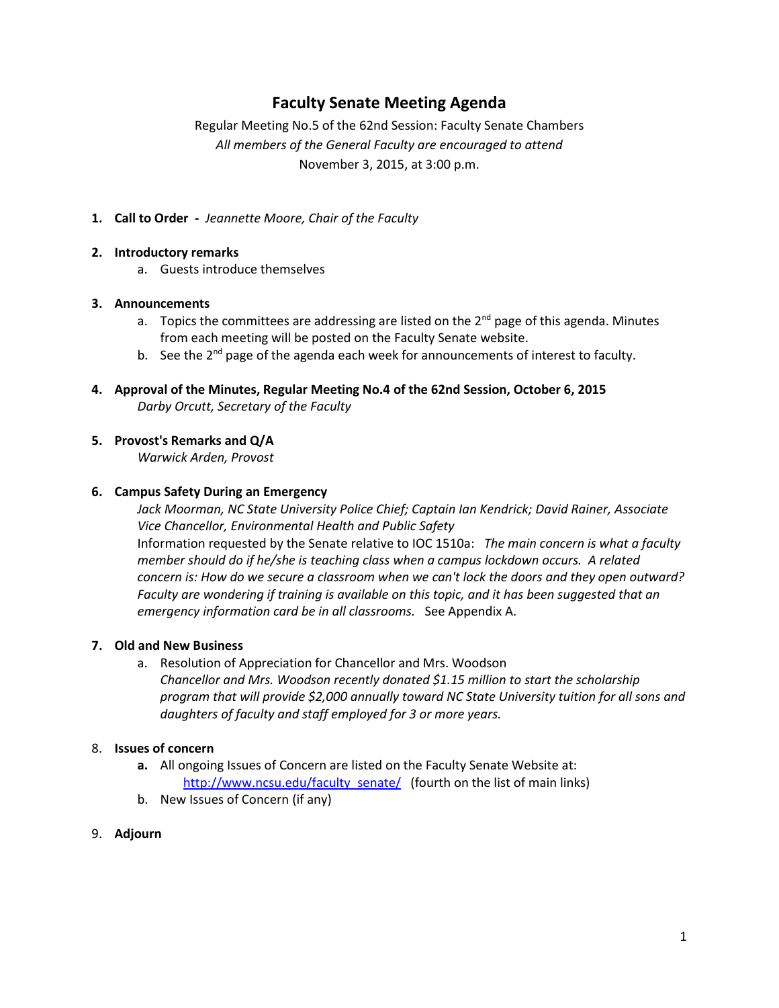# **Faculty Senate Meeting Agenda**

Regular Meeting No.5 of the 62nd Session: Faculty Senate Chambers *All members of the General Faculty are encouraged to attend* November 3, 2015, at 3:00 p.m.

**1. Call to Order -** *Jeannette Moore, Chair of the Faculty*

### **2. Introductory remarks**

a. Guests introduce themselves

### **3. Announcements**

- a. Topics the committees are addressing are listed on the  $2^{nd}$  page of this agenda. Minutes from each meeting will be posted on the Faculty Senate website.
- b. See the 2<sup>nd</sup> page of the agenda each week for announcements of interest to faculty.
- **4. Approval of the Minutes, Regular Meeting No.4 of the 62nd Session, October 6, 2015** *Darby Orcutt, Secretary of the Faculty*

### **5. Provost's Remarks and Q/A**

*Warwick Arden, Provost*

### **6. Campus Safety During an Emergency**

*Jack Moorman, NC State University Police Chief; Captain Ian Kendrick; David Rainer, Associate Vice Chancellor, Environmental Health and Public Safety* Information requested by the Senate relative to IOC 1510a: *The main concern is what a faculty member should do if he/she is teaching class when a campus lockdown occurs. A related concern is: How do we secure a classroom when we can't lock the doors and they open outward? Faculty are wondering if training is available on this topic, and it has been suggested that an emergency information card be in all classrooms.* See Appendix A.

### **7. Old and New Business**

a. Resolution of Appreciation for Chancellor and Mrs. Woodson *Chancellor and Mrs. Woodson recently donated \$1.15 million to start the scholarship program that will provide \$2,000 annually toward NC State University tuition for all sons and daughters of faculty and staff employed for 3 or more years.*

## 8. **Issues of concern**

- **a.** All ongoing Issues of Concern are listed on the Faculty Senate Website at: [http://www.ncsu.edu/faculty\\_senate/](http://www.ncsu.edu/faculty_senate/) (fourth on the list of main links)
- b. New Issues of Concern (if any)

### 9. **Adjourn**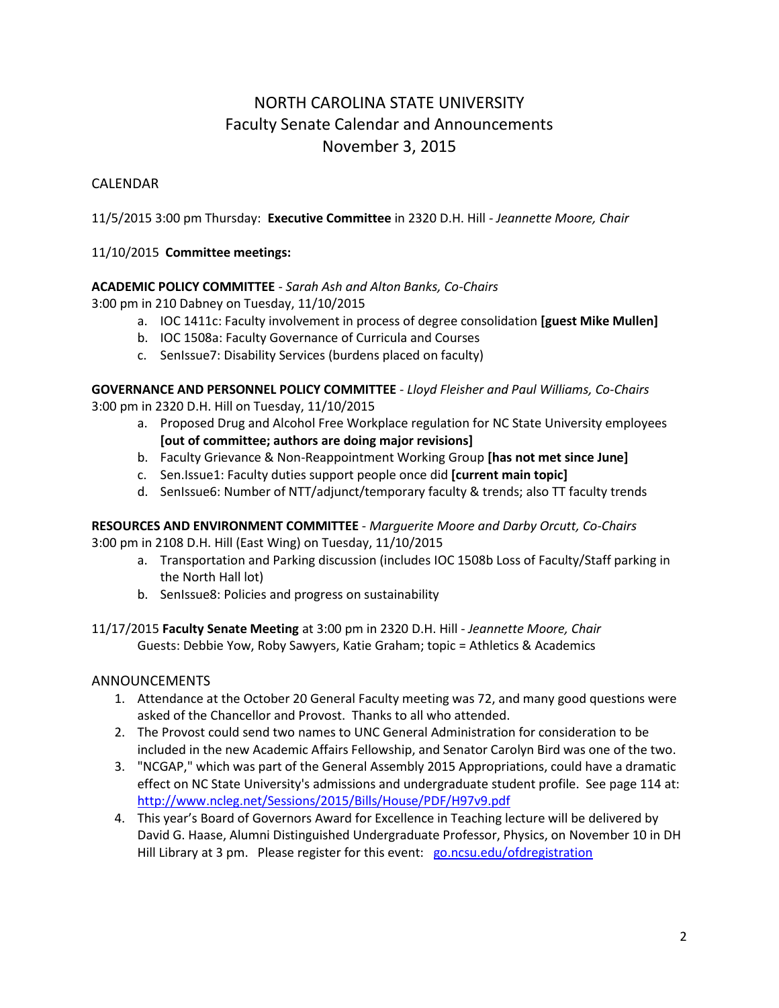# NORTH CAROLINA STATE UNIVERSITY Faculty Senate Calendar and Announcements November 3, 2015

# CALENDAR

11/5/2015 3:00 pm Thursday: **Executive Committee** in 2320 D.H. Hill *- Jeannette Moore, Chair*

# 11/10/2015 **Committee meetings:**

## **ACADEMIC POLICY COMMITTEE** - *Sarah Ash and Alton Banks, Co-Chairs*

3:00 pm in 210 Dabney on Tuesday, 11/10/2015

- a. IOC 1411c: Faculty involvement in process of degree consolidation **[guest Mike Mullen]**
- b. IOC 1508a: Faculty Governance of Curricula and Courses
- c. SenIssue7: Disability Services (burdens placed on faculty)

**GOVERNANCE AND PERSONNEL POLICY COMMITTEE** - *Lloyd Fleisher and Paul Williams, Co-Chairs* 3:00 pm in 2320 D.H. Hill on Tuesday, 11/10/2015

- a. Proposed Drug and Alcohol Free Workplace regulation for NC State University employees **[out of committee; authors are doing major revisions]**
- b. Faculty Grievance & Non-Reappointment Working Group **[has not met since June]**
- c. Sen.Issue1: Faculty duties support people once did **[current main topic]**
- d. SenIssue6: Number of NTT/adjunct/temporary faculty & trends; also TT faculty trends

**RESOURCES AND ENVIRONMENT COMMITTEE** - *Marguerite Moore and Darby Orcutt, Co-Chairs* 3:00 pm in 2108 D.H. Hill (East Wing) on Tuesday, 11/10/2015

- a. Transportation and Parking discussion (includes IOC 1508b Loss of Faculty/Staff parking in the North Hall lot)
- b. SenIssue8: Policies and progress on sustainability

11/17/2015 **Faculty Senate Meeting** at 3:00 pm in 2320 D.H. Hill - *Jeannette Moore, Chair* Guests: Debbie Yow, Roby Sawyers, Katie Graham; topic = Athletics & Academics

### ANNOUNCEMENTS

- 1. Attendance at the October 20 General Faculty meeting was 72, and many good questions were asked of the Chancellor and Provost. Thanks to all who attended.
- 2. The Provost could send two names to UNC General Administration for consideration to be included in the new Academic Affairs Fellowship, and Senator Carolyn Bird was one of the two.
- 3. "NCGAP," which was part of the General Assembly 2015 Appropriations, could have a dramatic effect on NC State University's admissions and undergraduate student profile. See page 114 at: <http://www.ncleg.net/Sessions/2015/Bills/House/PDF/H97v9.pdf>
- 4. This year's Board of Governors Award for Excellence in Teaching lecture will be delivered by David G. Haase, Alumni Distinguished Undergraduate Professor, Physics, on November 10 in DH Hill Library at 3 pm. Please register for this event: [go.ncsu.edu/ofdregistration](file:///C:/Users/vlsteven/Downloads/go.ncsu.edu/ofdregistration)